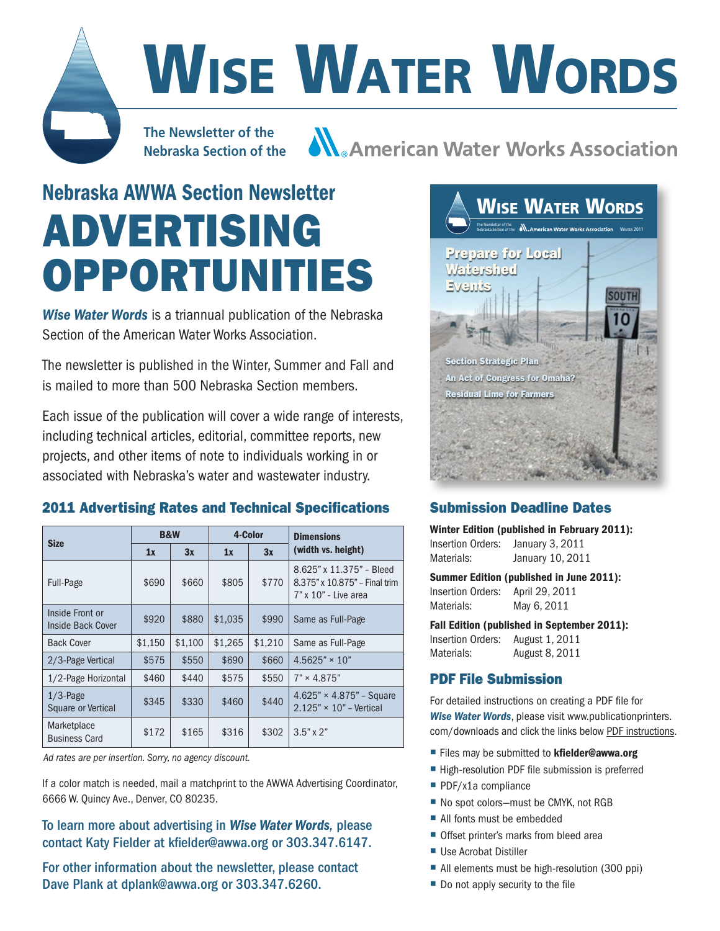# WISE WATER WORDS

**The Newsletter of the Nebraska Section of the**

**A American Water Works Association** 

## Nebraska AWWA Section Newsletter Advertising **OPPORTUNITIES**

*Wise Water Words* is a triannual publication of the Nebraska Section of the American Water Works Association.

The newsletter is published in the Winter, Summer and Fall and is mailed to more than 500 Nebraska Section members.

Each issue of the publication will cover a wide range of interests, including technical articles, editorial, committee reports, new projects, and other items of note to individuals working in or associated with Nebraska's water and wastewater industry.

#### 2011 Advertising Rates and Technical Specifications

| <b>Size</b>                          | <b>B&amp;W</b> |         | 4-Color |         | <b>Dimensions</b>                                                                 |  |
|--------------------------------------|----------------|---------|---------|---------|-----------------------------------------------------------------------------------|--|
|                                      | 1x             | 3x      | 1x      | 3x      | (width vs. height)                                                                |  |
| Full-Page                            | \$690          | \$660   | \$805   | \$770   | 8.625" x 11.375" - Bleed<br>8.375" x 10.875" - Final trim<br>7" x 10" - Live area |  |
| Inside Front or<br>Inside Back Cover | \$920          | \$880   | \$1,035 | \$990   | Same as Full-Page                                                                 |  |
| <b>Back Cover</b>                    | \$1,150        | \$1,100 | \$1,265 | \$1,210 | Same as Full-Page                                                                 |  |
| 2/3-Page Vertical                    | \$575          | \$550   | \$690   | \$660   | $4.5625" \times 10"$                                                              |  |
| 1/2-Page Horizontal                  | \$460          | \$440   | \$575   | \$550   | $7" \times 4.875"$                                                                |  |
| $1/3$ -Page<br>Square or Vertical    | \$345          | \$330   | \$460   | \$440   | 4.625" $\times$ 4.875" – Square<br>$2.125" \times 10"$ - Vertical                 |  |
| Marketplace<br><b>Business Card</b>  | \$172          | \$165   | \$316   | \$302   | $3.5" \times 2"$                                                                  |  |

*Ad rates are per insertion. Sorry, no agency discount.*

If a color match is needed, mail a matchprint to the AWWA Advertising Coordinator, 6666 W. Quincy Ave., Denver, CO 80235.

To learn more about advertising in *Wise Water Words,* please contact Katy Fielder at kfielder@awwa.org or 303.347.6147.

For other information about the newsletter, please contact Dave Plank at dplank@awwa.org or 303.347.6260.



#### Submission Deadline Dates

Winter Edition (published in February 2011):

Insertion Orders: January 3, 2011 Materials: January 10, 2011

Summer Edition (published in June 2011): Insertion Orders: April 29, 2011 Materials: May 6, 2011

Fall Edition (published in September 2011): Insertion Orders: August 1, 2011 Materials: August 8, 2011

#### PDF File Submission

For detailed instructions on creating a PDF file for *Wise Water Words*, please visit www.publicationprinters. com/downloads and click the links below PDF instructions.

- Files may be submitted to kfielder@awwa.org
- High-resolution PDF file submission is preferred
- PDF/x1a compliance
- No spot colors-must be CMYK, not RGB
- All fonts must be embedded
- Offset printer's marks from bleed area
- Use Acrobat Distiller
- All elements must be high-resolution (300 ppi)
- Do not apply security to the file